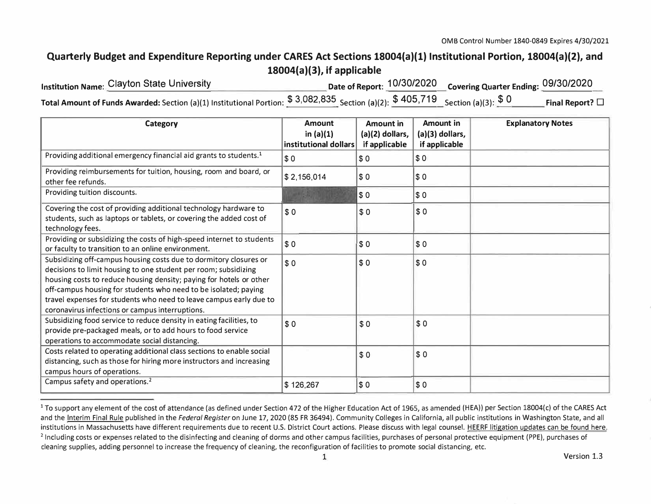## **Quarterly Budget and Expenditure Reporting under CARES Act Sections 18004(a)(1) Institutional Portion, 18004(a)(2), and 18004(a)(3), if applicable**

| <b>Institution Name: Clayton State University</b>                                                                                 | Date of Report: $\frac{10/30/2020}{2}$ Covering Quarter Ending: 09/30/2020 |                      |
|-----------------------------------------------------------------------------------------------------------------------------------|----------------------------------------------------------------------------|----------------------|
| Total Amount of Funds Awarded: Section (a)(1) Institutional Portion: $$3,082,835$ Section (a)(2): $$405,719$ Section (a)(3): $$0$ |                                                                            | Final Report? $\Box$ |

| Category                                                                                                                                                                                                                                                                                                                                                                                                | <b>Amount</b><br>in $(a)(1)$<br>institutional dollars | <b>Amount in</b><br>(a)(2) dollars,<br>if applicable | <b>Amount in</b><br>(a)(3) dollars,<br>if applicable | <b>Explanatory Notes</b> |
|---------------------------------------------------------------------------------------------------------------------------------------------------------------------------------------------------------------------------------------------------------------------------------------------------------------------------------------------------------------------------------------------------------|-------------------------------------------------------|------------------------------------------------------|------------------------------------------------------|--------------------------|
| Providing additional emergency financial aid grants to students. <sup>1</sup>                                                                                                                                                                                                                                                                                                                           | \$0                                                   | \$0                                                  | \$0                                                  |                          |
| Providing reimbursements for tuition, housing, room and board, or<br>other fee refunds.                                                                                                                                                                                                                                                                                                                 | \$2,156,014                                           | \$0                                                  | \$0                                                  |                          |
| Providing tuition discounts.                                                                                                                                                                                                                                                                                                                                                                            |                                                       | \$0                                                  | \$0                                                  |                          |
| Covering the cost of providing additional technology hardware to<br>students, such as laptops or tablets, or covering the added cost of<br>technology fees.                                                                                                                                                                                                                                             | \$0                                                   | \$0                                                  | \$0                                                  |                          |
| Providing or subsidizing the costs of high-speed internet to students<br>or faculty to transition to an online environment.                                                                                                                                                                                                                                                                             | $ $ \$0                                               | \$0                                                  | \$0                                                  |                          |
| Subsidizing off-campus housing costs due to dormitory closures or<br>decisions to limit housing to one student per room; subsidizing<br>housing costs to reduce housing density; paying for hotels or other<br>off-campus housing for students who need to be isolated; paying<br>travel expenses for students who need to leave campus early due to<br>coronavirus infections or campus interruptions. | \$0                                                   | \$0                                                  | \$0                                                  |                          |
| Subsidizing food service to reduce density in eating facilities, to<br>provide pre-packaged meals, or to add hours to food service<br>operations to accommodate social distancing.                                                                                                                                                                                                                      | \$0                                                   | \$0                                                  | \$0                                                  |                          |
| Costs related to operating additional class sections to enable social<br>distancing, such as those for hiring more instructors and increasing<br>campus hours of operations.                                                                                                                                                                                                                            |                                                       | \$0                                                  | \$0                                                  |                          |
| Campus safety and operations. <sup>2</sup>                                                                                                                                                                                                                                                                                                                                                              | \$126,267                                             | \$0                                                  | \$0                                                  |                          |

 $1$  To support any element of the cost of attendance (as defined under Section 472 of the Higher Education Act of 1965, as amended (HEA)) per Section 18004(c) of the CARES Act and the Interim Final Rule published in the Federal Register on June 17, 2020 (85 FR 36494). Community Colleges in California, all public institutions in Washington State, and all institutions in Massachusetts have different requirements due to recent U.S. District Court actions. Please discuss with legal counsel. HEERF litigation updates can be found here. <sup>2</sup> Including costs or expenses related to the disinfecting and cleaning of dorms and other campus facilities, purchases of personal protective equipment (PPE), purchases of cleaning supplies, adding personnel to increase the frequency of cleaning, the reconfiguration of facilities to promote social distancing, etc.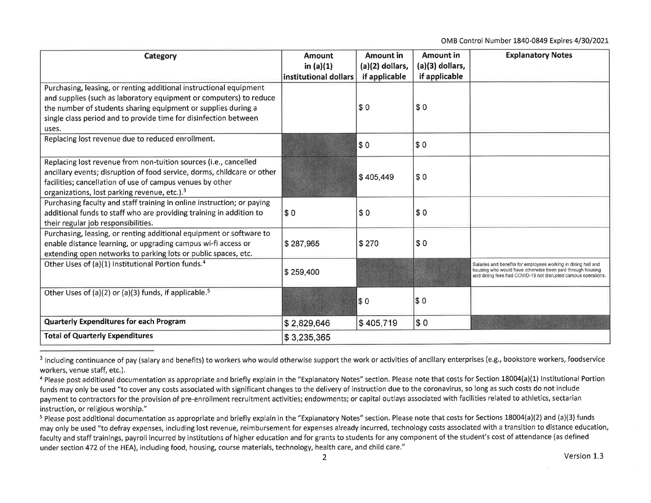OMB Control Number 1840-0849 Expires 4/30/2021

| Category                                                                                                                                                                                                                                                                               | <b>Amount</b><br>in $(a)(1)$<br>institutional dollars | <b>Amount in</b><br>(a)(2) dollars,<br>if applicable | Amount in<br>(a)(3) dollars,<br>if applicable | <b>Explanatory Notes</b>                                                                                                                                                                      |
|----------------------------------------------------------------------------------------------------------------------------------------------------------------------------------------------------------------------------------------------------------------------------------------|-------------------------------------------------------|------------------------------------------------------|-----------------------------------------------|-----------------------------------------------------------------------------------------------------------------------------------------------------------------------------------------------|
| Purchasing, leasing, or renting additional instructional equipment<br>and supplies (such as laboratory equipment or computers) to reduce<br>the number of students sharing equipment or supplies during a<br>single class period and to provide time for disinfection between<br>uses. |                                                       | \$0                                                  | \$0                                           |                                                                                                                                                                                               |
| Replacing lost revenue due to reduced enrollment.                                                                                                                                                                                                                                      |                                                       | \$0                                                  | \$0                                           |                                                                                                                                                                                               |
| Replacing lost revenue from non-tuition sources (i.e., cancelled<br>ancillary events; disruption of food service, dorms, childcare or other<br>facilities; cancellation of use of campus venues by other<br>organizations, lost parking revenue, etc.). <sup>3</sup>                   |                                                       | \$405,449                                            | \$0                                           |                                                                                                                                                                                               |
| Purchasing faculty and staff training in online instruction; or paying<br>additional funds to staff who are providing training in addition to<br>their regular job responsibilities.                                                                                                   | \$0                                                   | \$0                                                  | \$0                                           |                                                                                                                                                                                               |
| Purchasing, leasing, or renting additional equipment or software to<br>enable distance learning, or upgrading campus wi-fi access or<br>extending open networks to parking lots or public spaces, etc.                                                                                 | \$287,965                                             | \$270                                                | \$0                                           |                                                                                                                                                                                               |
| Other Uses of (a)(1) Institutional Portion funds. <sup>4</sup>                                                                                                                                                                                                                         | \$259,400                                             |                                                      |                                               | Salaries and benefits for employees working in dining hall and<br>housing who would have otherwise been paid through housing<br>and dining fees had COVID-19 not disrupted campus operations. |
| Other Uses of (a)(2) or (a)(3) funds, if applicable. <sup>5</sup>                                                                                                                                                                                                                      |                                                       | \$0                                                  | \$0                                           |                                                                                                                                                                                               |
| <b>Quarterly Expenditures for each Program</b>                                                                                                                                                                                                                                         | \$2,829,646                                           | \$405,719                                            | \$0                                           |                                                                                                                                                                                               |
| <b>Total of Quarterly Expenditures</b>                                                                                                                                                                                                                                                 | \$3,235,365                                           |                                                      |                                               |                                                                                                                                                                                               |

<sup>&</sup>lt;sup>3</sup> Including continuance of pay (salary and benefits) to workers who would otherwise support the work or activities of ancillary enterprises (e.g., bookstore workers, foodservice workers, venue staff, etc.).

<sup>&</sup>lt;sup>4</sup> Please post additional documentation as appropriate and briefly explain in the "Explanatory Notes" section. Please note that costs for Section 18004(a)(1) Institutional Portion funds may only be used "to cover any costs associated with significant changes to the delivery of instruction due to the coronavirus, so long as such costs do not include payment to contractors for the provision of pre-enrollment recruitment activities; endowments; or capital outlays associated with facilities related to athletics, sectarian instruction, or religious worship."

<sup>&</sup>lt;sup>5</sup> Please post additional documentation as appropriate and briefly explain in the "Explanatory Notes" section. Please note that costs for Sections 18004(a)(2) and (a)(3) funds may only be used "to defray expenses, including lost revenue, reimbursement for expenses already incurred, technology costs associated with a transition to distance education, faculty and staff trainings, payroll incurred by institutions of higher education and for grants to students for any component of the student's cost of attendance (as defined under section 472 of the HEA), including food, housing, course materials, technology, health care, and child care."